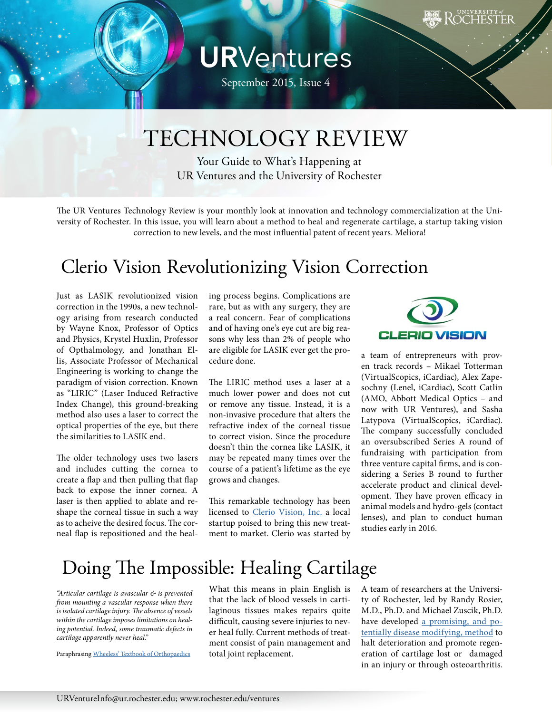# **UR**Ventures

September 2015, Issue 4

## TECHNOLOGY REVIEW

Your Guide to What's Happening at UR Ventures and the University of Rochester

The UR Ventures Technology Review is your monthly look at innovation and technology commercialization at the University of Rochester. In this issue, you will learn about a method to heal and regenerate cartilage, a startup taking vision correction to new levels, and the most influential patent of recent years. Meliora!

### Clerio Vision Revolutionizing Vision Correction

Just as LASIK revolutionized vision correction in the 1990s, a new technology arising from research conducted by Wayne Knox, Professor of Optics and Physics, Krystel Huxlin, Professor of Opthalmology, and Jonathan Ellis, Associate Professor of Mechanical Engineering is working to change the paradigm of vision correction. Known as "LIRIC" (Laser Induced Refractive Index Change), this ground-breaking method also uses a laser to correct the optical properties of the eye, but there the similarities to LASIK end.

The older technology uses two lasers and includes cutting the cornea to create a flap and then pulling that flap back to expose the inner cornea. A laser is then applied to ablate and reshape the corneal tissue in such a way as to acheive the desired focus. The corneal flap is repositioned and the heal-

ing process begins. Complications are rare, but as with any surgery, they are a real concern. Fear of complications and of having one's eye cut are big reasons why less than 2% of people who are eligible for LASIK ever get the procedure done.

The LIRIC method uses a laser at a much lower power and does not cut or remove any tissue. Instead, it is a non-invasive procedure that alters the refractive index of the corneal tissue to correct vision. Since the procedure doesn't thin the cornea like LASIK, it may be repeated many times over the course of a patient's lifetime as the eye grows and changes.

This remarkable technology has been licensed to [Clerio Vision, Inc.](http://www.cleriovision.com/) a local startup poised to bring this new treatment to market. Clerio was started by



a team of entrepreneurs with proven track records – Mikael Totterman (VirtualScopics, iCardiac), Alex Zapesochny (Lenel, iCardiac), Scott Catlin (AMO, Abbott Medical Optics – and now with UR Ventures), and Sasha Latypova (VirtualScopics, iCardiac). The company successfully concluded an oversubscribed Series A round of fundraising with participation from three venture capital firms, and is considering a Series B round to further accelerate product and clinical development. They have proven efficacy in animal models and hydro-gels (contact lenses), and plan to conduct human studies early in 2016.

### Doing The Impossible: Healing Cartilage

*"Articular cartilage is avascular & is prevented from mounting a vascular response when there is isolated cartilage injury. The absence of vessels within the cartilage imposes limitations on healing potential. Indeed, some traumatic defects in cartilage apparently never heal."*

Paraphrasing [Wheeless' Textbook of Orthopaedics](http://www.wheelessonline.com/ortho/healing_of_cartilage)

What this means in plain English is that the lack of blood vessels in cartilaginous tissues makes repairs quite difficult, causing severe injuries to never heal fully. Current methods of treatment consist of pain management and total joint replacement.

A team of researchers at the University of Rochester, led by Randy Rosier, M.D., Ph.D. and Michael Zuscik, Ph.D. have developed [a promising, and po](http://www.rochester.edu/ventures/wp-content/uploads/2015/09/6-1753-Zuscik.pdf)[tentially disease modifying, method](http://www.rochester.edu/ventures/wp-content/uploads/2015/09/6-1753-Zuscik.pdf) to halt deterioration and promote regeneration of cartilage lost or damaged in an injury or through osteoarthritis.